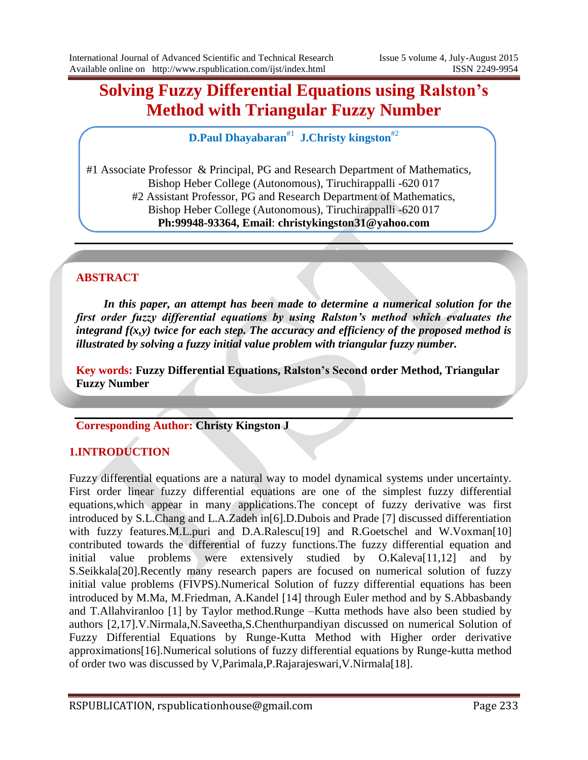# **Solving Fuzzy Differential Equations using Ralston's Method with Triangular Fuzzy Number**

**D.Paul Dhayabaran**#1  **J.Christy kingston**#2

#1 Associate Professor & Principal, PG and Research Department of Mathematics, Bishop Heber College (Autonomous), Tiruchirappalli -620 017 #2 Assistant Professor, PG and Research Department of Mathematics, Bishop Heber College (Autonomous), Tiruchirappalli -620 017 **Ph:99948-93364, Email**: **christykingston31@yahoo.com**

## **ABSTRACT**

*In this paper, an attempt has been made to determine a numerical solution for the first order fuzzy differential equations by using Ralston's method which evaluates the integrand f(x,y) twice for each step. The accuracy and efficiency of the proposed method is illustrated by solving a fuzzy initial value problem with triangular fuzzy number.*

**Key words: Fuzzy Differential Equations, Ralston's Second order Method, Triangular Fuzzy Number**

# **Corresponding Author: Christy Kingston J**

## **1.INTRODUCTION**

Fuzzy differential equations are a natural way to model dynamical systems under uncertainty. First order linear fuzzy differential equations are one of the simplest fuzzy differential equations,which appear in many applications.The concept of fuzzy derivative was first introduced by S.L.Chang and L.A.Zadeh in[6].D.Dubois and Prade [7] discussed differentiation with fuzzy features.M.L.puri and D.A.Ralescu<sup>[19]</sup> and R.Goetschel and W.Voxman<sup>[10]</sup> contributed towards the differential of fuzzy functions.The fuzzy differential equation and initial value problems were extensively studied by O.Kaleva[11,12] and by S.Seikkala[20].Recently many research papers are focused on numerical solution of fuzzy initial value problems (FIVPS).Numerical Solution of fuzzy differential equations has been introduced by M.Ma, M.Friedman, A.Kandel [14] through Euler method and by S.Abbasbandy and T.Allahviranloo [1] by Taylor method.Runge –Kutta methods have also been studied by authors [2,17].V.Nirmala,N.Saveetha,S.Chenthurpandiyan discussed on numerical Solution of Fuzzy Differential Equations by Runge-Kutta Method with Higher order derivative approximations[16].Numerical solutions of fuzzy differential equations by Runge-kutta method of order two was discussed by V,Parimala,P.Rajarajeswari,V.Nirmala[18].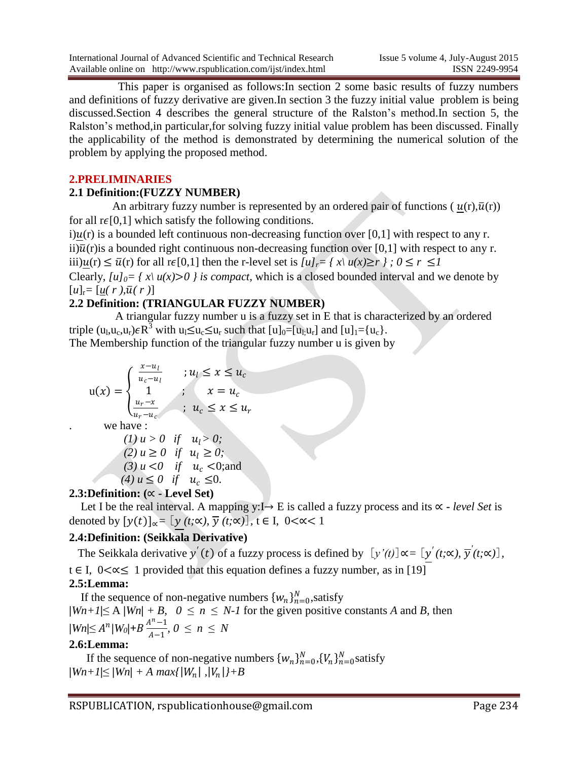This paper is organised as follows:In section 2 some basic results of fuzzy numbers and definitions of fuzzy derivative are given.In section 3 the fuzzy initial value problem is being discussed.Section 4 describes the general structure of the Ralston"s method.In section 5, the Ralston"s method,in particular,for solving fuzzy initial value problem has been discussed. Finally the applicability of the method is demonstrated by determining the numerical solution of the problem by applying the proposed method.

#### **2.PRELIMINARIES**

#### **2.1 Definition:(FUZZY NUMBER)**

An arbitrary fuzzy number is represented by an ordered pair of functions ( $u(r), \bar{u}(r)$ ) for all  $r\in[0,1]$  which satisfy the following conditions.

i) $u(r)$  is a bounded left continuous non-decreasing function over [0,1] with respect to any r. ii) $\bar{u}(r)$  is a bounded right continuous non-decreasing function over [0,1] with respect to any r. iii) $u(r) \le \overline{u}(r)$  for all  $r \in [0,1]$  then the r-level set is  $\overline{u}_r = \overline{f}_r \times \overline{u}_r = \overline{f}_r \times \overline{u}_r = \overline{f}_r \times \overline{u}_r = \overline{f}_r \times \overline{u}_r$ Clearly,  $\lceil u \rceil_0 = \lceil x \rceil u(x) > 0$  *is compact*, which is a closed bounded interval and we denote by

#### $[u]_r = [u(r), \overline{u}(r)]$ **2.2 Definition: (TRIANGULAR FUZZY NUMBER)**

 A triangular fuzzy number u is a fuzzy set in E that is characterized by an ordered triple  $(u_l, u_c, u_r) \in R^3$  with  $u_l \le u_c \le u_r$  such that  $[u]_0 = [u_l, u_r]$  and  $[u]_1 = \{u_c\}$ . The Membership function of the triangular fuzzy number u is given by

$$
u(x) = \begin{cases} \frac{x - u_l}{u_c - u_l} & \text{if } u_l \le x \le u_c\\ 1 & \text{if } x = u_c\\ \frac{u_r - x}{u_r - u_c} & \text{if } u_c \le x \le u_r \end{cases}
$$

. we have :

(1) 
$$
u > 0
$$
 if  $u_l > 0$ ;  
\n(2)  $u \ge 0$  if  $u_l \ge 0$ ;  
\n(3)  $u < 0$  if  $u_c < 0$ ;  
\n(4)  $u \le 0$  if  $u_c \le 0$ .

## **2.3:Definition: (**∝ **- Level Set)**

 Let I be the real interval. A mapping y:I→ E is called a fuzzy process and its ∝ **-** *level Set* is denoted by  $[y(t)]_{\alpha} = [y(t;\alpha), \overline{y}(t;\alpha)]$ ,  $t \in I$ , 0<∝< 1

# **2.4:Definition: (Seikkala Derivative)**

The Seikkala derivative  $y'(t)$  of a fuzzy process is defined by  $[y'(t)] \propto = [y'(t;\infty), \overline{y}'(t;\infty)]$ ,

t ∈ I, 0<∝≤ 1 provided that this equation defines a fuzzy number, as in [19]

## **2.5:Lemma:**

If the sequence of non-negative numbers  $\{w_n\}_{n=0}^N$ , satisfy  $|Wn+1| \le A |Wn| + B$ ,  $0 \le n \le N-1$  for the given positive constants *A* and *B*, then  $|Wn|\leq A^{n}/W_{0}+B\frac{A^{n}-1}{A^{n}-1}$  $\frac{1}{A-1}$ ,  $0 \le n \le N$ 

#### **2.6:Lemma:**

If the sequence of non-negative numbers  $\{w_n\}_{n=0}^N$ ,  $\{V_n\}_{n=0}^N$  satisfy  $|Wn+1| \le |Wn| + A \ max\{|W_n|, |V_n|\} + B$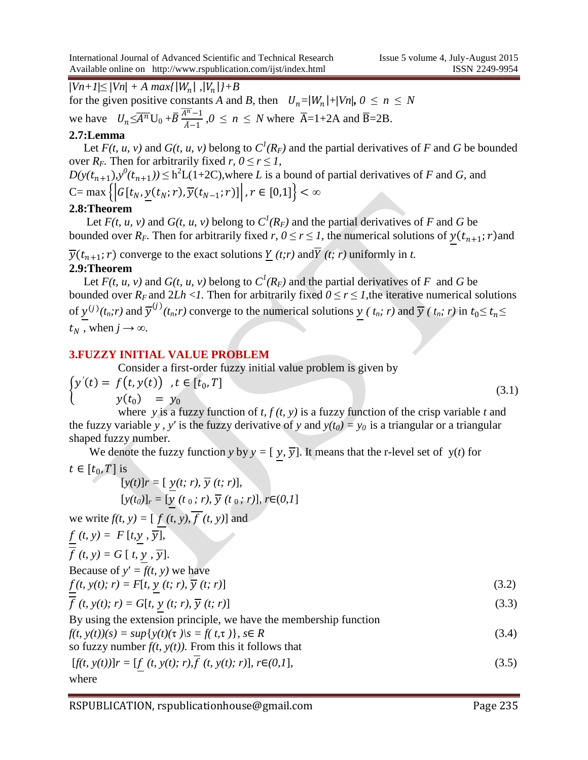$|Vn+1| \leq |Vn| + A \ max\{|W_n|, |V_n|\} + B$ 

for the given positive constants *A* and *B*, then  $U_n = |W_n| + |V_n|, 0 \le n \le N$ 

we have  $U_n \leq \overline{A^n} U_0 + \overline{B} \frac{\overline{A^n} - 1}{\overline{A} - 1}$  $\frac{4^{n}-1}{\bar{A}-1}$ ,  $0 \le n \le N$  where  $\bar{A}=1+2A$  and  $\bar{B}=2B$ .

#### **2.7:Lemma**

Let  $F(t, u, v)$  and  $G(t, u, v)$  belong to  $C^l(R_F)$  and the partial derivatives of F and G be bounded over  $R_F$ . Then for arbitrarily fixed  $r, 0 \le r \le 1$ ,

 $D(y(t_{n+1}), y^0(t_{n+1})) \leq h^2 L(1+2C)$ , where *L* is a bound of partial derivatives of *F* and *G*, and  $C = \max \{ |G[t_N, y(t_N; r), \overline{y}(t_{N-1}; r)] |, r \in [0, 1] \} < \infty$ 

#### **2.8:Theorem**

Let  $F(t, u, v)$  and  $G(t, u, v)$  belong to  $C^l(R_F)$  and the partial derivatives of F and G be bounded over  $R_F$ . Then for arbitrarily fixed  $r, 0 \le r \le 1$ , the numerical solutions of  $y(t_{n+1}; r)$  and

 $\overline{y}(t_{n+1}; r)$  converge to the exact solutions <u>*Y*</u> (*t*;*r*) and *Y* (*t*; *r*) uniformly in *t*. **2.9:Theorem**

Let  $F(t, u, v)$  and  $G(t, u, v)$  belong to  $C^l(R_F)$  and the partial derivatives of F and G be bounded over  $R_F$  and  $2Lh < I$ . Then for arbitrarily fixed  $0 \le r \le I$ , the iterative numerical solutions of  $y^{(j)}(t_n;r)$  and  $\overline{y}^{(j)}(t_n;r)$  converge to the numerical solutions  $y(t_n;r)$  and  $\overline{y}(t_n;r)$  in  $t_0 \le t_n \le$  $t_N$ , when  $j \rightarrow \infty$ .

#### **3.FUZZY INITIAL VALUE PROBLEM**

Consider a first-order fuzzy initial value problem is given by

$$
\begin{cases}\ny'(t) = f(t, y(t)), t \in [t_0, T] \\
y(t_0) = y_0 \\
\text{where } y \text{ is a fuzzy function of } t \ f(t, y) \text{ is a fuzzy function of the crisp variable } t \text{ and} \n\end{cases}
$$
\n(3.1)

 where *y* is a fuzzy function of *t, f (t, y)* is a fuzzy function of the crisp variable *t* and the fuzzy variable *y*, *y*' is the fuzzy derivative of *y* and  $y(t_0) = y_0$  is a triangular or a triangular shaped fuzzy number.

We denote the fuzzy function *y* by  $y = [y, \overline{y}]$ . It means that the r-level set of y(*t*) for  $t \in [t_0, T]$  is

$$
[y(t)]r = [\underline{y}(t; r), \overline{y}(t; r)],
$$
  
\n
$$
[y(t_0)]_r = [\underline{y}(t_0; r), \overline{y}(t_0; r)], r \in (0, 1]
$$
  
\nwe write  $f(t, y) = [\underline{f}(t, y), \overline{f}(t, y)]$  and  
\n
$$
\underline{f}(t, y) = F[t, \underline{y}, \overline{y}],
$$
  
\nBecause of  $y' = f(t, y)$  we have  
\n
$$
\underline{f}(t, y(t); r) = F[t, \underline{y}(t; r), \overline{y}(t; r)]
$$
  
\n
$$
\overline{f}(t, y(t); r) = G[t, \underline{y}(t; r), \overline{y}(t; r)]
$$
  
\nBy using the extension principle, we have the membership function  
\n
$$
f(t, y(t))(s) = \sup\{y(t)(\tau) \mid s = f(t, \tau)\}, s \in R
$$
  
\nso fuzzy number  $f(t, y(t))$ . From this it follows that  
\n
$$
[f(t, y(t))]_r = [\underline{f}(t, y(t); r), \overline{f}(t, y(t); r)], r \in (0, 1],
$$
\n(3.5)

#### where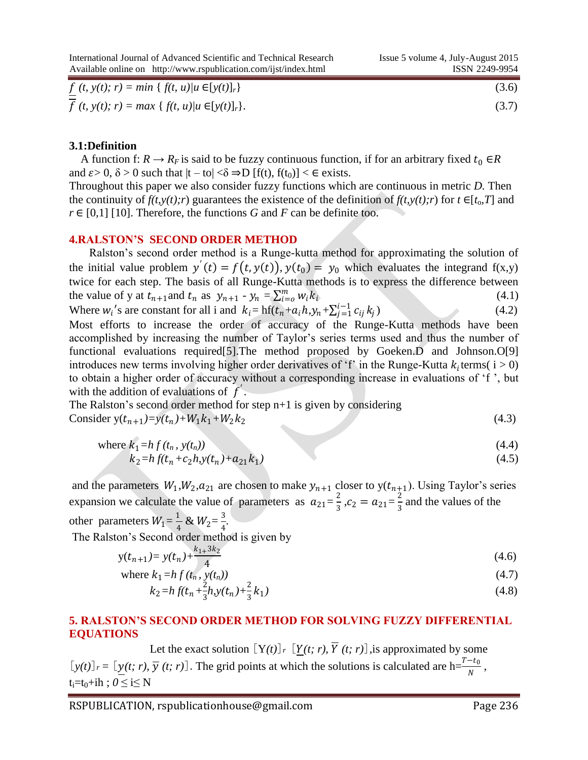International Journal of Advanced Scientific and Technical Research Issue 5 volume 4, July-August 2015 Available online on http://www.rspublication.com/ijst/index.html ISSN 2249-9954

| $f(t, y(t); r) = min \{ f(t, u) / u \in [y(t)]_r \}$<br>$\overline{\phantom{a}}$ | (3.6) |
|----------------------------------------------------------------------------------|-------|
| $f(t, y(t); r) = max \{ f(t, u) / u \in [y(t)]_r \}.$                            | (3.7) |

#### **3.1:Definition**

A function f:  $R \rightarrow R_F$  is said to be fuzzy continuous function, if for an arbitrary fixed  $t_0 \in R$ and  $\varepsilon > 0$ ,  $\delta > 0$  such that  $|t - \text{tol}| < \delta \Rightarrow D$  [f(t), f(t<sub>0</sub>)] <  $\in$  exists.

Throughout this paper we also consider fuzzy functions which are continuous in metric *D.* Then the continuity of  $f(t,y(t);r)$  guarantees the existence of the definition of  $f(t,y(t);r)$  for  $t \in [t_0, T]$  and *r* ∈ [0*,*1] [10]. Therefore, the functions *G* and *F* can be definite too.

#### **4.RALSTON'S SECOND ORDER METHOD**

 Ralston"s second order method is a Runge-kutta method for approximating the solution of the initial value problem  $y'(t) = f(t, y(t))$ ,  $y(t_0) = y_0$  which evaluates the integrand  $f(x,y)$ twice for each step. The basis of all Runge-Kutta methods is to express the difference between the value of y at  $t_{n+1}$  and  $t_n$  as  $y_{n+1} - y_n = \sum_{i=0}^m w_i k_i$  (4.1)

Where  $w_i$ 's are constant for all i and  $k_i = hf(t_n + a_i h, y_n + \sum_{j=1}^{i-1} c_{ij} k_j)$  $(4.2)$ 

Most efforts to increase the order of accuracy of the Runge-Kutta methods have been accomplished by increasing the number of Taylor"s series terms used and thus the number of functional evaluations required[5].The method proposed by Goeken.D and Johnson.O[9] introduces new terms involving higher order derivatives of 'f' in the Runge-Kutta  $k_i$ terms( $i > 0$ ) to obtain a higher order of accuracy without a corresponding increase in evaluations of "f ", but with the addition of evaluations of  $f'$ .

The Ralston's second order method for step  $n+1$  is given by considering Consider  $y(t_{n+1}) = y(t_n) + W_1 k_1 + W_2 k_2$  $(4.3)$ 

where 
$$
k_1 = h f(t_n, y(t_n))
$$
  
\n $k_2 = h f(t_n + c_2 h, y(t_n) + a_{21} k_1)$  (4.4)

and the parameters  $W_1, W_2, a_{21}$  are chosen to make  $y_{n+1}$  closer to  $y(t_{n+1})$ . Using Taylor's series expansion we calculate the value of parameters as  $a_{21} = \frac{2}{3}$  $\frac{2}{3}$ ,  $c_2 = a_{21} = \frac{2}{3}$  $\frac{2}{3}$  and the values of the

other parameters  $W_1 = \frac{1}{4}$  $\frac{1}{4}$  &  $W_2 = \frac{3}{4}$  $\frac{5}{4}$ .

The Ralston's Second order method is given by

$$
y(t_{n+1}) = y(t_n) + \frac{k_{1+3}k_2}{4}
$$
\n(4.6)

where 
$$
k_1 = hf(t_n, y(t_n))
$$
 (4.7)  
\n
$$
k_1 = hf(t_1, y(t_1))^{2} k_1 y(t_2) y(t_3)
$$
\n(4.8)

$$
k_2 = h f(t_n + \frac{2}{3}h, y(t_n) + \frac{2}{3}k_1)
$$
\n(4.8)

#### **5. RALSTON'S SECOND ORDER METHOD FOR SOLVING FUZZY DIFFERENTIAL EQUATIONS**

Let the exact solution  $[Y(t)]_r [Y(t; r), \overline{Y}(t; r)]$ , is approximated by some  $[y(t)]_r = \left[\underline{y}(t; r), \overline{y}(t; r)\right]$ . The grid points at which the solutions is calculated are h= $\frac{T-t_0}{N}$ ,  $t_i=t_0+ih$ ;  $0 \le i \le N$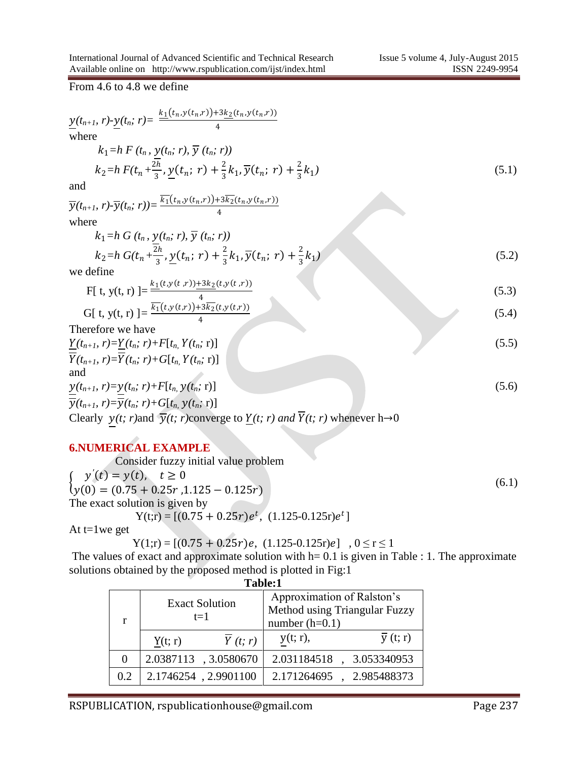From 4.6 to 4.8 we define

$$
\underbrace{y(t_{n+1}, r) \cdot y(t_n; r)}_{\text{where}} = \frac{k_1(t_{n, y}(t_n, r)) + 3k_2(t_{n, y}(t_n, r))}{4}
$$
\nwhere  
\n
$$
k_1 = h F(t_n, \underbrace{y(t_n; r), \overline{y}(t_n; r)}_{\text{and } \overline{y}(t_{n+1}, r) - \overline{y}(t_n; r)) = \frac{\overline{k_1}(t_{n, y}(t_n, r)) + 3\overline{k_2}(t_{n, y}(t_n, r)) + \frac{2}{3}k_1}{4}
$$
\n(5.1)  
\nand  
\n
$$
\overline{y}(t_{n+1}, r) \cdot \overline{y}(t_n; r)) = \frac{\overline{k_1}(t_{n, y}(t_n, r)) + 3\overline{k_2}(t_{n, y}(t_n, r))}{4}
$$
\nwhere  
\n
$$
k_1 = h G(t_n, \underbrace{y(t_n; r), \overline{y}(t_n; r)}_{\text{the same}})
$$
\nwe define  
\nF[t, y(t, r)] =  $\frac{k_1(t, y(t, r)) + 3k_2(t, y(t, r))}{4}$   
\n
$$
G[t, y(t, r)] = \frac{\overline{k_1}(t, y(t, r)) + 3k_2(t, y(t, r))}{4}
$$
\n(5.3)  
\n
$$
G[t, y(t, r)] = \frac{\overline{k_1}(t, y(t, r)) + 3k_2(t, y(t, r))}{4}
$$
\n(5.4)  
\nTherefore we have  
\n
$$
\frac{Y(t_{n+1}, r) = Y(t_n; r) + F[t_n, Y(t_n; r)]}{\overline{Y}(t_{n+1}, r) = \overline{Y}(t_n; r) + G[t_n, Y(t_n; r)]}
$$
\nand  
\n
$$
y(t_{n+1}, r) = \overline{y}(t_n; r) + G[t_n, y(t_n; r)]
$$
\n
$$
G(t, r)
$$
\nClearly,  $y = \overline{y}(t_n; r) + G[t_n, y(t_n; r)]$ \n(5.6)  
\nClearly,  $y(t; r)$  and  $\overline{Y}(t; r)$  and  $\overline{Y}(t; r)$  whenever  $h \rightarrow 0$ 

#### **6.NUMERICAL EXAMPLE**

Consider fuzzy initial value problem  $\begin{aligned} \n\frac{\partial}{\partial y}(0) &= (0.75 + 0.25r, 1.125 - 0.125r) \n\end{aligned}$  $y'(t) = y(t), \quad t \ge 0$  (6.1) The exact solution is given by  $Y(t; r) = [(0.75 + 0.25r)e^{t}, (1.125-0.125r)e^{t}]$ 

At  $t=1$  we get

 $Y(1;r) = [(0.75 + 0.25r)e, (1.125-0.125r)e]$ ,  $0 \le r \le 1$ 

The values of exact and approximate solution with  $h=0.1$  is given in Table : 1. The approximate solutions obtained by the proposed method is plotted in Fig:1 **Table:1**

| таше. г |                                |                                                                                 |  |  |
|---------|--------------------------------|---------------------------------------------------------------------------------|--|--|
|         | <b>Exact Solution</b><br>$t=1$ | Approximation of Ralston's<br>Method using Triangular Fuzzy<br>number $(h=0.1)$ |  |  |
|         | Y(t; r)<br>Y(t; r)             | $\overline{y}$ (t; r)<br>$y(t; r)$ ,                                            |  |  |
|         | 2.0387113, 3.0580670           | 2.031184518<br>3.053340953                                                      |  |  |
| 0.2     | 2.1746254, 2.9901100           | 2.171264695,<br>2.985488373                                                     |  |  |

## RSPUBLICATION, rspublicationhouse@gmail.com Page 237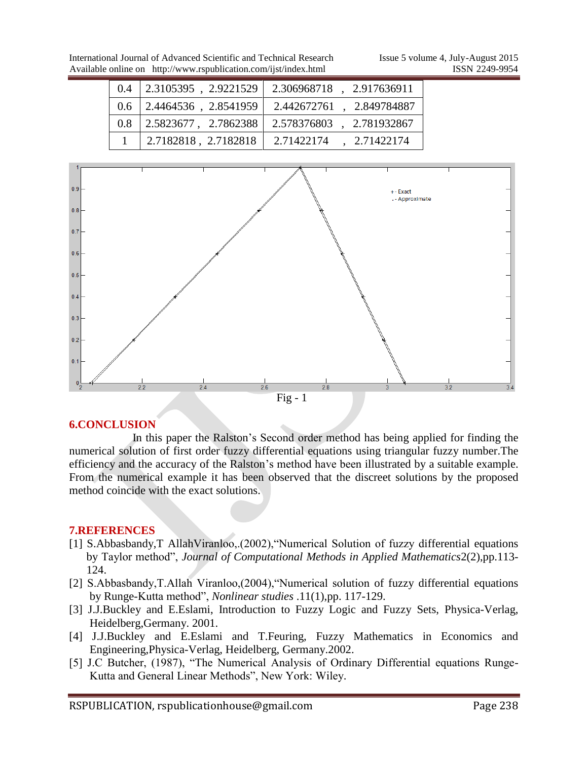| $0.4^{\circ}$ | 2.3105395, 2.9221529               | 2.306968718, 2.917636911 |
|---------------|------------------------------------|--------------------------|
|               | $0.6$   2.4464536, 2.8541959       | 2.442672761, 2.849784887 |
| 0.8           | $\vert 2.5823677, 2.7862388 \vert$ | 2.578376803, 2.781932867 |
|               | 2.7182818, 2.7182818               | 2.71422174<br>2.71422174 |



## **6.CONCLUSION**

 In this paper the Ralston"s Second order method has being applied for finding the numerical solution of first order fuzzy differential equations using triangular fuzzy number.The efficiency and the accuracy of the Ralston"s method have been illustrated by a suitable example. From the numerical example it has been observed that the discreet solutions by the proposed method coincide with the exact solutions.

## **7.REFERENCES**

- [1] S.Abbasbandy,T AllahViranloo,.(2002),"Numerical Solution of fuzzy differential equations by Taylor method", *Journal of Computational Methods in Applied Mathematics*2(2),pp.113- 124.
- [2] S.Abbasbandy,T.Allah Viranloo,(2004),"Numerical solution of fuzzy differential equations by Runge-Kutta method", *Nonlinear studies* .11(1),pp. 117-129.
- [3] J.J.Buckley and E.Eslami, Introduction to Fuzzy Logic and Fuzzy Sets, Physica-Verlag, Heidelberg,Germany. 2001.
- [4] J.J.Buckley and E.Eslami and T.Feuring, Fuzzy Mathematics in Economics and Engineering,Physica-Verlag, Heidelberg, Germany.2002.
- [5] J.C Butcher, (1987), "The Numerical Analysis of Ordinary Differential equations Runge-Kutta and General Linear Methods", New York: Wiley.